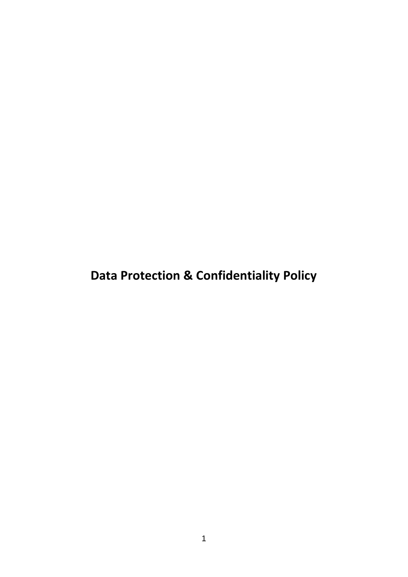**Data Protection & Confidentiality Policy**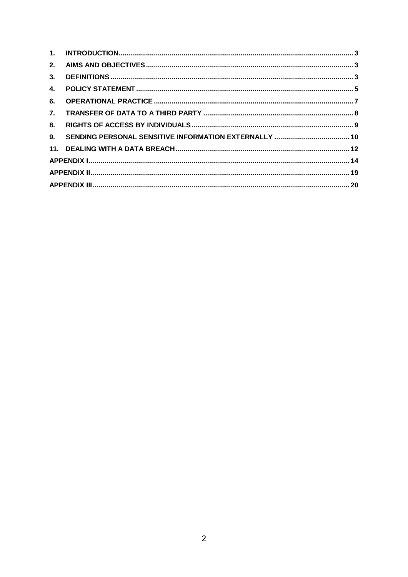| 2.             |  |  |
|----------------|--|--|
| 3.             |  |  |
| 4.             |  |  |
| 6.             |  |  |
| $\mathbf{7}$ . |  |  |
| 8.             |  |  |
|                |  |  |
|                |  |  |
|                |  |  |
|                |  |  |
|                |  |  |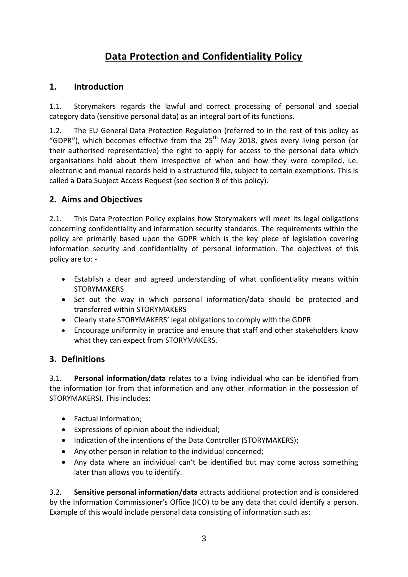# **Data Protection and Confidentiality Policy**

## <span id="page-2-0"></span>**1. Introduction**

1.1. Storymakers regards the lawful and correct processing of personal and special category data (sensitive personal data) as an integral part of its functions.

1.2. The EU General Data Protection Regulation (referred to in the rest of this policy as "GDPR"), which becomes effective from the  $25<sup>th</sup>$  May 2018, gives every living person (or their authorised representative) the right to apply for access to the personal data which organisations hold about them irrespective of when and how they were compiled, i.e. electronic and manual records held in a structured file, subject to certain exemptions. This is called a Data Subject Access Request (see section 8 of this policy).

## <span id="page-2-1"></span>**2. Aims and Objectives**

2.1. This Data Protection Policy explains how Storymakers will meet its legal obligations concerning confidentiality and information security standards. The requirements within the policy are primarily based upon the GDPR which is the key piece of legislation covering information security and confidentiality of personal information. The objectives of this policy are to: -

- Establish a clear and agreed understanding of what confidentiality means within STORYMAKERS
- Set out the way in which personal information/data should be protected and transferred within STORYMAKERS
- Clearly state STORYMAKERS' legal obligations to comply with the GDPR
- Encourage uniformity in practice and ensure that staff and other stakeholders know what they can expect from STORYMAKERS.

## <span id="page-2-2"></span>**3. Definitions**

3.1. **Personal information/data** relates to a living individual who can be identified from the information (or from that information and any other information in the possession of STORYMAKERS). This includes:

- Factual information;
- Expressions of opinion about the individual;
- Indication of the intentions of the Data Controller (STORYMAKERS):
- Any other person in relation to the individual concerned;
- Any data where an individual can't be identified but may come across something later than allows you to identify.

3.2. **Sensitive personal information/data** attracts additional protection and is considered by the Information Commissioner's Office (ICO) to be any data that could identify a person. Example of this would include personal data consisting of information such as: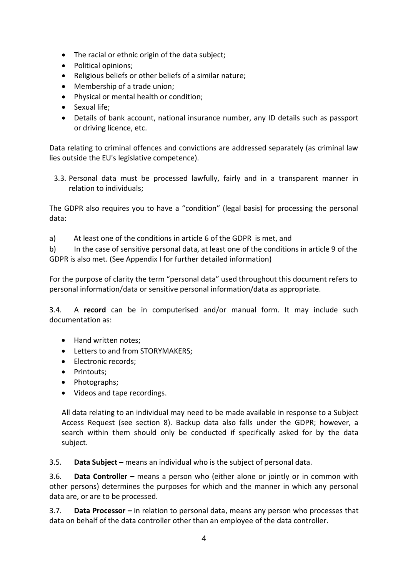- The racial or ethnic origin of the data subject;
- Political opinions;
- Religious beliefs or other beliefs of a similar nature;
- Membership of a trade union;
- Physical or mental health or condition;
- Sexual life;
- Details of bank account, national insurance number, any ID details such as passport or driving licence, etc.

Data relating to criminal offences and convictions are addressed separately (as criminal law lies outside the EU's legislative competence).

3.3. Personal data must be processed lawfully, fairly and in a transparent manner in relation to individuals;

The GDPR also requires you to have a "condition" (legal basis) for processing the personal data:

a) At least one of the conditions in article 6 of the GDPR is met, and

b) In the case of sensitive personal data, at least one of the conditions in article 9 of the GDPR is also met. (See Appendix I for further detailed information)

For the purpose of clarity the term "personal data" used throughout this document refers to personal information/data or sensitive personal information/data as appropriate.

3.4. A **record** can be in computerised and/or manual form. It may include such documentation as:

- Hand written notes;
- Letters to and from STORYMAKERS;
- Electronic records;
- Printouts:
- Photographs;
- Videos and tape recordings.

All data relating to an individual may need to be made available in response to a Subject Access Request (see section 8). Backup data also falls under the GDPR; however, a search within them should only be conducted if specifically asked for by the data subject.

3.5. **Data Subject –** means an individual who is the subject of personal data.

3.6. **Data Controller –** means a person who (either alone or jointly or in common with other persons) determines the purposes for which and the manner in which any personal data are, or are to be processed.

3.7. **Data Processor –** in relation to personal data, means any person who processes that data on behalf of the data controller other than an employee of the data controller.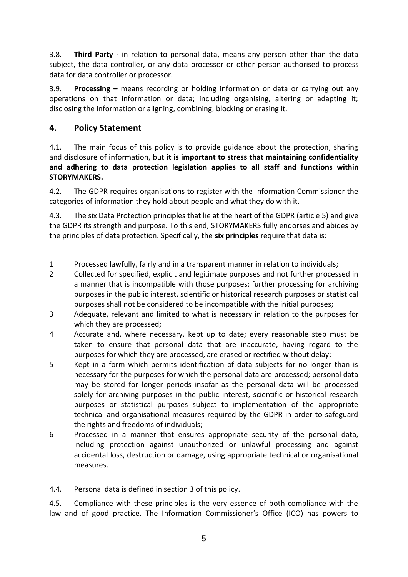3.8. **Third Party -** in relation to personal data, means any person other than the data subject, the data controller, or any data processor or other person authorised to process data for data controller or processor.

3.9. **Processing –** means recording or holding information or data or carrying out any operations on that information or data; including organising, altering or adapting it; disclosing the information or aligning, combining, blocking or erasing it.

## <span id="page-4-0"></span>**4. Policy Statement**

4.1. The main focus of this policy is to provide guidance about the protection, sharing and disclosure of information, but **it is important to stress that maintaining confidentiality and adhering to data protection legislation applies to all staff and functions within STORYMAKERS.**

4.2. The GDPR requires organisations to register with the Information Commissioner the categories of information they hold about people and what they do with it.

4.3. The six Data Protection principles that lie at the heart of the GDPR (article 5) and give the GDPR its strength and purpose. To this end, STORYMAKERS fully endorses and abides by the principles of data protection. Specifically, the **six principles** require that data is:

- 1 Processed lawfully, fairly and in a transparent manner in relation to individuals;
- 2 Collected for specified, explicit and legitimate purposes and not further processed in a manner that is incompatible with those purposes; further processing for archiving purposes in the public interest, scientific or historical research purposes or statistical purposes shall not be considered to be incompatible with the initial purposes;
- 3 Adequate, relevant and limited to what is necessary in relation to the purposes for which they are processed;
- 4 Accurate and, where necessary, kept up to date; every reasonable step must be taken to ensure that personal data that are inaccurate, having regard to the purposes for which they are processed, are erased or rectified without delay;
- 5 Kept in a form which permits identification of data subjects for no longer than is necessary for the purposes for which the personal data are processed; personal data may be stored for longer periods insofar as the personal data will be processed solely for archiving purposes in the public interest, scientific or historical research purposes or statistical purposes subject to implementation of the appropriate technical and organisational measures required by the GDPR in order to safeguard the rights and freedoms of individuals;
- 6 Processed in a manner that ensures appropriate security of the personal data, including protection against unauthorized or unlawful processing and against accidental loss, destruction or damage, using appropriate technical or organisational measures.

4.4. Personal data is defined in section 3 of this policy.

4.5. Compliance with these principles is the very essence of both compliance with the law and of good practice. The Information Commissioner's Office (ICO) has powers to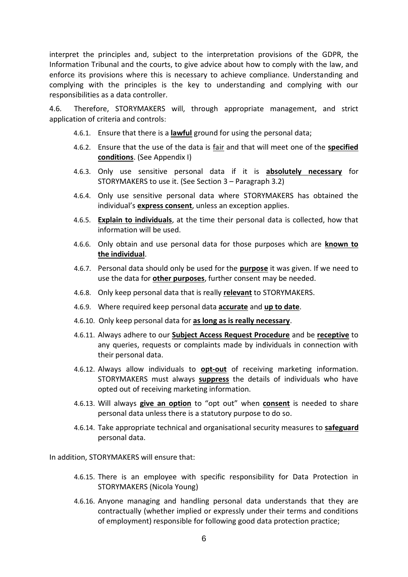interpret the principles and, subject to the interpretation provisions of the GDPR, the Information Tribunal and the courts, to give advice about how to comply with the law, and enforce its provisions where this is necessary to achieve compliance. Understanding and complying with the principles is the key to understanding and complying with our responsibilities as a data controller.

4.6. Therefore, STORYMAKERS will, through appropriate management, and strict application of criteria and controls:

- 4.6.1. Ensure that there is a **lawful** ground for using the personal data;
- 4.6.2. Ensure that the use of the data is fair and that will meet one of the **specified conditions**. (See Appendix I)
- 4.6.3. Only use sensitive personal data if it is **absolutely necessary** for STORYMAKERS to use it. (See Section 3 – Paragraph 3.2)
- 4.6.4. Only use sensitive personal data where STORYMAKERS has obtained the individual's **express consent**, unless an exception applies.
- 4.6.5. **Explain to individuals**, at the time their personal data is collected, how that information will be used.
- 4.6.6. Only obtain and use personal data for those purposes which are **known to the individual**.
- 4.6.7. Personal data should only be used for the **purpose** it was given. If we need to use the data for **other purposes**, further consent may be needed.
- 4.6.8. Only keep personal data that is really **relevant** to STORYMAKERS.
- 4.6.9. Where required keep personal data **accurate** and **up to date**.
- 4.6.10. Only keep personal data for **as long as is really necessary**.
- 4.6.11. Always adhere to our **Subject Access Request Procedure** and be **receptive** to any queries, requests or complaints made by individuals in connection with their personal data.
- 4.6.12. Always allow individuals to **opt-out** of receiving marketing information. STORYMAKERS must always **suppress** the details of individuals who have opted out of receiving marketing information.
- 4.6.13. Will always **give an option** to "opt out" when **consent** is needed to share personal data unless there is a statutory purpose to do so.
- 4.6.14. Take appropriate technical and organisational security measures to **safeguard** personal data.

In addition, STORYMAKERS will ensure that:

- 4.6.15. There is an employee with specific responsibility for Data Protection in STORYMAKERS (Nicola Young)
- 4.6.16. Anyone managing and handling personal data understands that they are contractually (whether implied or expressly under their terms and conditions of employment) responsible for following good data protection practice;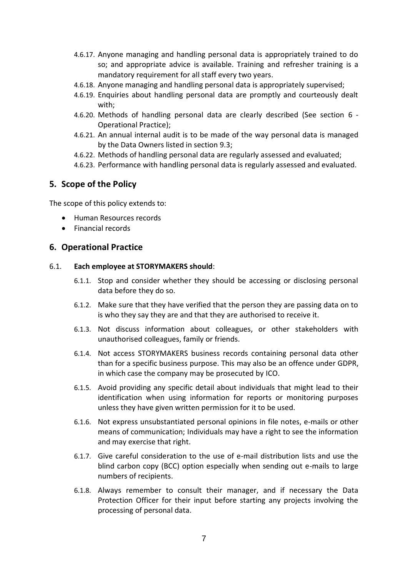- 4.6.17. Anyone managing and handling personal data is appropriately trained to do so; and appropriate advice is available. Training and refresher training is a mandatory requirement for all staff every two years.
- 4.6.18. Anyone managing and handling personal data is appropriately supervised;
- 4.6.19. Enquiries about handling personal data are promptly and courteously dealt with;
- 4.6.20. Methods of handling personal data are clearly described (See section 6 Operational Practice);
- 4.6.21. An annual internal audit is to be made of the way personal data is managed by the Data Owners listed in section 9.3;
- 4.6.22. Methods of handling personal data are regularly assessed and evaluated;
- 4.6.23. Performance with handling personal data is regularly assessed and evaluated.

### **5. Scope of the Policy**

The scope of this policy extends to:

- **•** Human Resources records
- Financial records

#### <span id="page-6-0"></span>**6. Operational Practice**

#### 6.1. **Each employee at STORYMAKERS should**:

- 6.1.1. Stop and consider whether they should be accessing or disclosing personal data before they do so.
- 6.1.2. Make sure that they have verified that the person they are passing data on to is who they say they are and that they are authorised to receive it.
- 6.1.3. Not discuss information about colleagues, or other stakeholders with unauthorised colleagues, family or friends.
- 6.1.4. Not access STORYMAKERS business records containing personal data other than for a specific business purpose. This may also be an offence under GDPR, in which case the company may be prosecuted by ICO.
- 6.1.5. Avoid providing any specific detail about individuals that might lead to their identification when using information for reports or monitoring purposes unless they have given written permission for it to be used.
- 6.1.6. Not express unsubstantiated personal opinions in file notes, e-mails or other means of communication; Individuals may have a right to see the information and may exercise that right.
- 6.1.7. Give careful consideration to the use of e-mail distribution lists and use the blind carbon copy (BCC) option especially when sending out e-mails to large numbers of recipients.
- 6.1.8. Always remember to consult their manager, and if necessary the Data Protection Officer for their input before starting any projects involving the processing of personal data.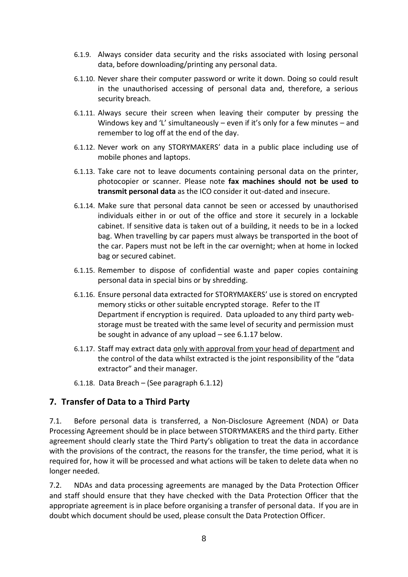- 6.1.9. Always consider data security and the risks associated with losing personal data, before downloading/printing any personal data.
- 6.1.10. Never share their computer password or write it down. Doing so could result in the unauthorised accessing of personal data and, therefore, a serious security breach.
- 6.1.11. Always secure their screen when leaving their computer by pressing the Windows key and 'L' simultaneously – even if it's only for a few minutes – and remember to log off at the end of the day.
- 6.1.12. Never work on any STORYMAKERS' data in a public place including use of mobile phones and laptops.
- 6.1.13. Take care not to leave documents containing personal data on the printer, photocopier or scanner. Please note **fax machines should not be used to transmit personal data** as the ICO consider it out-dated and insecure.
- 6.1.14. Make sure that personal data cannot be seen or accessed by unauthorised individuals either in or out of the office and store it securely in a lockable cabinet. If sensitive data is taken out of a building, it needs to be in a locked bag. When travelling by car papers must always be transported in the boot of the car. Papers must not be left in the car overnight; when at home in locked bag or secured cabinet.
- 6.1.15. Remember to dispose of confidential waste and paper copies containing personal data in special bins or by shredding.
- 6.1.16. Ensure personal data extracted for STORYMAKERS' use is stored on encrypted memory sticks or other suitable encrypted storage. Refer to the IT Department if encryption is required. Data uploaded to any third party webstorage must be treated with the same level of security and permission must be sought in advance of any upload – see 6.1.17 below.
- 6.1.17. Staff may extract data only with approval from your head of department and the control of the data whilst extracted is the joint responsibility of the "data extractor" and their manager.
- 6.1.18. Data Breach (See paragraph 6.1.12)

### <span id="page-7-0"></span>**7. Transfer of Data to a Third Party**

7.1. Before personal data is transferred, a Non-Disclosure Agreement (NDA) or Data Processing Agreement should be in place between STORYMAKERS and the third party. Either agreement should clearly state the Third Party's obligation to treat the data in accordance with the provisions of the contract, the reasons for the transfer, the time period, what it is required for, how it will be processed and what actions will be taken to delete data when no longer needed.

7.2. NDAs and data processing agreements are managed by the Data Protection Officer and staff should ensure that they have checked with the Data Protection Officer that the appropriate agreement is in place before organising a transfer of personal data. If you are in doubt which document should be used, please consult the Data Protection Officer.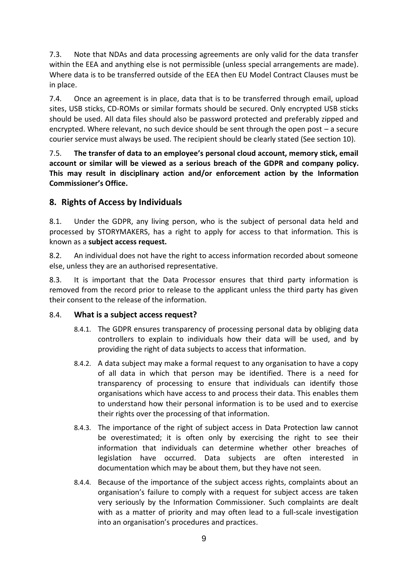7.3. Note that NDAs and data processing agreements are only valid for the data transfer within the EEA and anything else is not permissible (unless special arrangements are made). Where data is to be transferred outside of the EEA then EU Model Contract Clauses must be in place.

7.4. Once an agreement is in place, data that is to be transferred through email, upload sites, USB sticks, CD-ROMs or similar formats should be secured. Only encrypted USB sticks should be used. All data files should also be password protected and preferably zipped and encrypted. Where relevant, no such device should be sent through the open post – a secure courier service must always be used. The recipient should be clearly stated (See section 10).

7.5. **The transfer of data to an employee's personal cloud account, memory stick, email account or similar will be viewed as a serious breach of the GDPR and company policy. This may result in disciplinary action and/or enforcement action by the Information Commissioner's Office.**

## <span id="page-8-0"></span>**8. Rights of Access by Individuals**

8.1. Under the GDPR, any living person, who is the subject of personal data held and processed by STORYMAKERS, has a right to apply for access to that information. This is known as a **subject access request.** 

8.2. An individual does not have the right to access information recorded about someone else, unless they are an authorised representative.

8.3. It is important that the Data Processor ensures that third party information is removed from the record prior to release to the applicant unless the third party has given their consent to the release of the information.

### 8.4. **What is a subject access request?**

- 8.4.1. The GDPR ensures transparency of processing personal data by obliging data controllers to explain to individuals how their data will be used, and by providing the right of data subjects to access that information.
- 8.4.2. A data subject may make a formal request to any organisation to have a copy of all data in which that person may be identified. There is a need for transparency of processing to ensure that individuals can identify those organisations which have access to and process their data. This enables them to understand how their personal information is to be used and to exercise their rights over the processing of that information.
- 8.4.3. The importance of the right of subject access in Data Protection law cannot be overestimated; it is often only by exercising the right to see their information that individuals can determine whether other breaches of legislation have occurred. Data subjects are often interested in documentation which may be about them, but they have not seen.
- 8.4.4. Because of the importance of the subject access rights, complaints about an organisation's failure to comply with a request for subject access are taken very seriously by the Information Commissioner. Such complaints are dealt with as a matter of priority and may often lead to a full-scale investigation into an organisation's procedures and practices.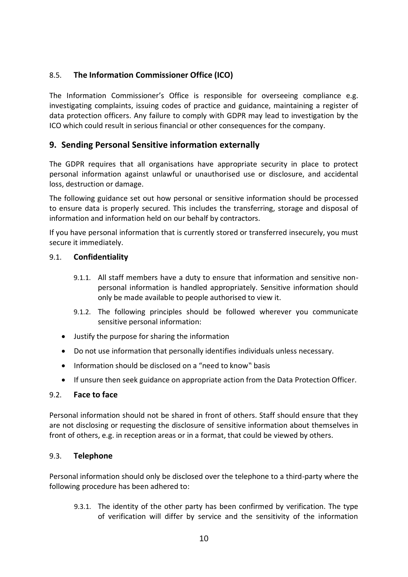### 8.5. **The Information Commissioner Office (ICO)**

The Information Commissioner's Office is responsible for overseeing compliance e.g. investigating complaints, issuing codes of practice and guidance, maintaining a register of data protection officers. Any failure to comply with GDPR may lead to investigation by the ICO which could result in serious financial or other consequences for the company.

### <span id="page-9-0"></span>**9. Sending Personal Sensitive information externally**

The GDPR requires that all organisations have appropriate security in place to protect personal information against unlawful or unauthorised use or disclosure, and accidental loss, destruction or damage.

The following guidance set out how personal or sensitive information should be processed to ensure data is properly secured. This includes the transferring, storage and disposal of information and information held on our behalf by contractors.

If you have personal information that is currently stored or transferred insecurely, you must secure it immediately.

### 9.1. **Confidentiality**

- 9.1.1. All staff members have a duty to ensure that information and sensitive nonpersonal information is handled appropriately. Sensitive information should only be made available to people authorised to view it.
- 9.1.2. The following principles should be followed wherever you communicate sensitive personal information:
- Justify the purpose for sharing the information
- Do not use information that personally identifies individuals unless necessary.
- Information should be disclosed on a "need to know" basis
- If unsure then seek guidance on appropriate action from the Data Protection Officer.

### 9.2. **Face to face**

Personal information should not be shared in front of others. Staff should ensure that they are not disclosing or requesting the disclosure of sensitive information about themselves in front of others, e.g. in reception areas or in a format, that could be viewed by others.

#### 9.3. **Telephone**

Personal information should only be disclosed over the telephone to a third-party where the following procedure has been adhered to:

9.3.1. The identity of the other party has been confirmed by verification. The type of verification will differ by service and the sensitivity of the information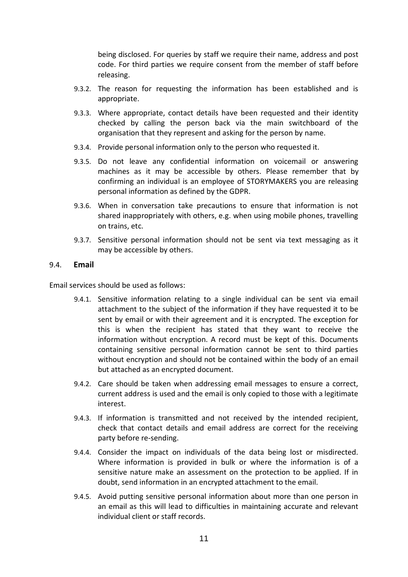being disclosed. For queries by staff we require their name, address and post code. For third parties we require consent from the member of staff before releasing.

- 9.3.2. The reason for requesting the information has been established and is appropriate.
- 9.3.3. Where appropriate, contact details have been requested and their identity checked by calling the person back via the main switchboard of the organisation that they represent and asking for the person by name.
- 9.3.4. Provide personal information only to the person who requested it.
- 9.3.5. Do not leave any confidential information on voicemail or answering machines as it may be accessible by others. Please remember that by confirming an individual is an employee of STORYMAKERS you are releasing personal information as defined by the GDPR.
- 9.3.6. When in conversation take precautions to ensure that information is not shared inappropriately with others, e.g. when using mobile phones, travelling on trains, etc.
- 9.3.7. Sensitive personal information should not be sent via text messaging as it may be accessible by others.

#### 9.4. **Email**

Email services should be used as follows:

- 9.4.1. Sensitive information relating to a single individual can be sent via email attachment to the subject of the information if they have requested it to be sent by email or with their agreement and it is encrypted. The exception for this is when the recipient has stated that they want to receive the information without encryption. A record must be kept of this. Documents containing sensitive personal information cannot be sent to third parties without encryption and should not be contained within the body of an email but attached as an encrypted document.
- 9.4.2. Care should be taken when addressing email messages to ensure a correct, current address is used and the email is only copied to those with a legitimate interest.
- 9.4.3. If information is transmitted and not received by the intended recipient, check that contact details and email address are correct for the receiving party before re-sending.
- 9.4.4. Consider the impact on individuals of the data being lost or misdirected. Where information is provided in bulk or where the information is of a sensitive nature make an assessment on the protection to be applied. If in doubt, send information in an encrypted attachment to the email.
- 9.4.5. Avoid putting sensitive personal information about more than one person in an email as this will lead to difficulties in maintaining accurate and relevant individual client or staff records.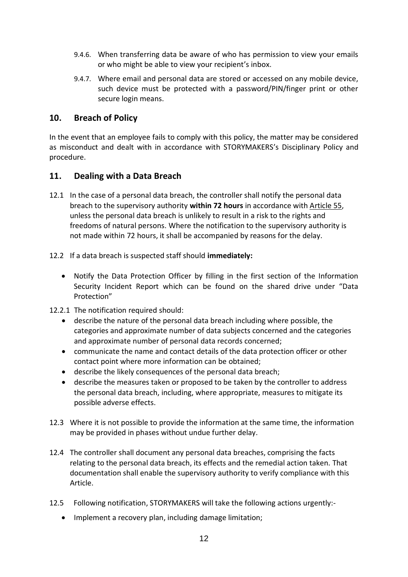- 9.4.6. When transferring data be aware of who has permission to view your emails or who might be able to view your recipient's inbox.
- 9.4.7. Where email and personal data are stored or accessed on any mobile device, such device must be protected with a password/PIN/finger print or other secure login means.

### **10. Breach of Policy**

In the event that an employee fails to comply with this policy, the matter may be considered as misconduct and dealt with in accordance with STORYMAKERS's Disciplinary Policy and procedure.

### <span id="page-11-0"></span>**11. Dealing with a Data Breach**

- 12.1 In the case of a personal data breach, the controller shall notify the personal data breach to the supervisory authority **within 72 hours** in accordance with [Article](https://gdpr-info.eu/art-55-gdpr/) 55, unless the personal data breach is unlikely to result in a risk to the rights and freedoms of natural persons. Where the notification to the supervisory authority is not made within 72 hours, it shall be accompanied by reasons for the delay.
- 12.2 If a data breach is suspected staff should **immediately:**
	- Notify the Data Protection Officer by filling in the first section of the Information Security Incident Report which can be found on the shared drive under "Data Protection"
- 12.2.1 The notification required should:
	- describe the nature of the personal data breach including where possible, the categories and approximate number of data subjects concerned and the categories and approximate number of personal data records concerned;
	- communicate the name and contact details of the data protection officer or other contact point where more information can be obtained;
	- describe the likely consequences of the personal data breach;
	- describe the measures taken or proposed to be taken by the controller to address the personal data breach, including, where appropriate, measures to mitigate its possible adverse effects.
- 12.3 Where it is not possible to provide the information at the same time, the information may be provided in phases without undue further delay.
- 12.4 The controller shall document any personal data breaches, comprising the facts relating to the personal data breach, its effects and the remedial action taken. That documentation shall enable the supervisory authority to verify compliance with this Article.
- 12.5 Following notification, STORYMAKERS will take the following actions urgently:-
	- Implement a recovery plan, including damage limitation;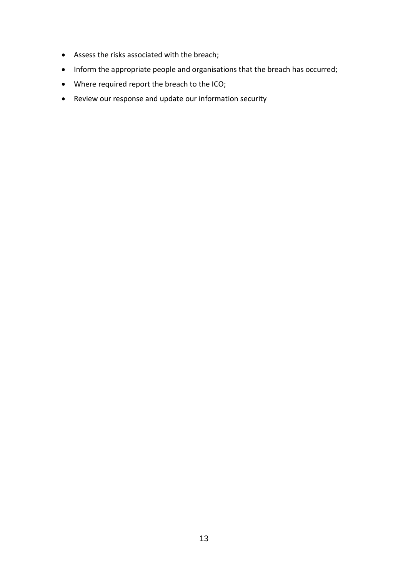- Assess the risks associated with the breach;
- Inform the appropriate people and organisations that the breach has occurred;
- Where required report the breach to the ICO;
- Review our response and update our information security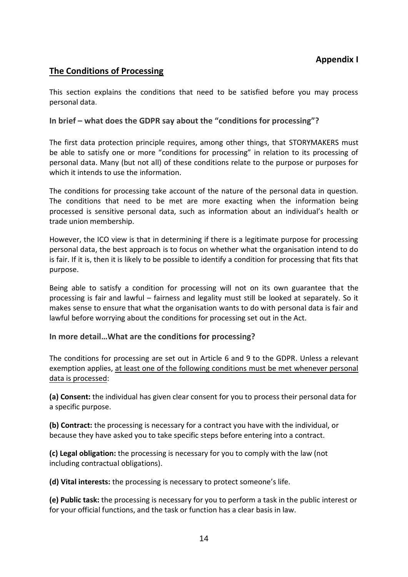## **Appendix I**

### <span id="page-13-0"></span>**The Conditions of Processing**

This section explains the conditions that need to be satisfied before you may process personal data.

### **In brief – what does the GDPR say about the "conditions for processing"?**

The first data protection principle requires, among other things, that STORYMAKERS must be able to satisfy one or more "conditions for processing" in relation to its processing of personal data. Many (but not all) of these conditions relate to the purpose or purposes for which it intends to use the information.

The conditions for processing take account of the nature of the personal data in question. The conditions that need to be met are more exacting when the information being processed is sensitive personal data, such as information about an individual's health or trade union membership.

However, the ICO view is that in determining if there is a legitimate purpose for processing personal data, the best approach is to focus on whether what the organisation intend to do is fair. If it is, then it is likely to be possible to identify a condition for processing that fits that purpose.

Being able to satisfy a condition for processing will not on its own guarantee that the processing is fair and lawful – fairness and legality must still be looked at separately. So it makes sense to ensure that what the organisation wants to do with personal data is fair and lawful before worrying about the conditions for processing set out in the Act.

#### **In more detail…What are the conditions for processing?**

The conditions for processing are set out in Article 6 and 9 to the GDPR. Unless a relevant [exemption](http://www.ico.gov.uk/for_organisations/data_protection/the_guide/exemptions.aspx) applies, at least one of the following conditions must be met whenever personal data is processed:

**(a) Consent:** the individual has given clear consent for you to process their personal data for a specific purpose.

**(b) Contract:** the processing is necessary for a contract you have with the individual, or because they have asked you to take specific steps before entering into a contract.

**(c) Legal obligation:** the processing is necessary for you to comply with the law (not including contractual obligations).

**(d) Vital interests:** the processing is necessary to protect someone's life.

**(e) Public task:** the processing is necessary for you to perform a task in the public interest or for your official functions, and the task or function has a clear basis in law.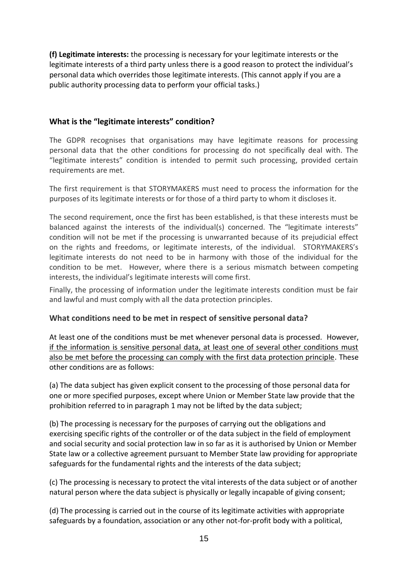**(f) Legitimate interests:** the processing is necessary for your legitimate interests or the legitimate interests of a third party unless there is a good reason to protect the individual's personal data which overrides those legitimate interests. (This cannot apply if you are a public authority processing data to perform your official tasks.)

### **What is the "legitimate interests" condition?**

The GDPR recognises that organisations may have legitimate reasons for processing personal data that the other conditions for processing do not specifically deal with. The "legitimate interests" condition is intended to permit such processing, provided certain requirements are met.

The first requirement is that STORYMAKERS must need to process the information for the purposes of its legitimate interests or for those of a third party to whom it discloses it.

The second requirement, once the first has been established, is that these interests must be balanced against the interests of the individual(s) concerned. The "legitimate interests" condition will not be met if the processing is unwarranted because of its prejudicial effect on the rights and freedoms, or legitimate interests, of the individual. STORYMAKERS's legitimate interests do not need to be in harmony with those of the individual for the condition to be met. However, where there is a serious mismatch between competing interests, the individual's legitimate interests will come first.

Finally, the processing of information under the legitimate interests condition must be fair and lawful and must comply with all the data protection principles.

#### **What conditions need to be met in respect of sensitive personal data?**

At least one of the conditions must be met whenever personal data is processed. However, if the information is sensitive personal data, at least one of several other conditions must also be met before the processing can comply with the first data protection principle. These other conditions are as follows:

(a) The data subject has given explicit consent to the processing of those personal data for one or more specified purposes, except where Union or Member State law provide that the prohibition referred to in paragraph 1 may not be lifted by the data subject;

(b) The processing is necessary for the purposes of carrying out the obligations and exercising specific rights of the controller or of the data subject in the field of employment and social security and social protection law in so far as it is authorised by Union or Member State law or a collective agreement pursuant to Member State law providing for appropriate safeguards for the fundamental rights and the interests of the data subject;

(c) The processing is necessary to protect the vital interests of the data subject or of another natural person where the data subject is physically or legally incapable of giving consent;

(d) The processing is carried out in the course of its legitimate activities with appropriate safeguards by a foundation, association or any other not-for-profit body with a political,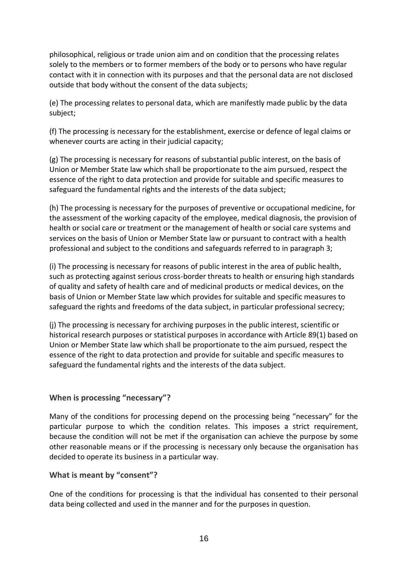philosophical, religious or trade union aim and on condition that the processing relates solely to the members or to former members of the body or to persons who have regular contact with it in connection with its purposes and that the personal data are not disclosed outside that body without the consent of the data subjects;

(e) The processing relates to personal data, which are manifestly made public by the data subject;

(f) The processing is necessary for the establishment, exercise or defence of legal claims or whenever courts are acting in their judicial capacity;

(g) The processing is necessary for reasons of substantial public interest, on the basis of Union or Member State law which shall be proportionate to the aim pursued, respect the essence of the right to data protection and provide for suitable and specific measures to safeguard the fundamental rights and the interests of the data subject;

(h) The processing is necessary for the purposes of preventive or occupational medicine, for the assessment of the working capacity of the employee, medical diagnosis, the provision of health or social care or treatment or the management of health or social care systems and services on the basis of Union or Member State law or pursuant to contract with a health professional and subject to the conditions and safeguards referred to in paragraph 3;

(i) The processing is necessary for reasons of public interest in the area of public health, such as protecting against serious cross-border threats to health or ensuring high standards of quality and safety of health care and of medicinal products or medical devices, on the basis of Union or Member State law which provides for suitable and specific measures to safeguard the rights and freedoms of the data subject, in particular professional secrecy;

(j) The processing is necessary for archiving purposes in the public interest, scientific or historical research purposes or statistical purposes in accordance with Article 89(1) based on Union or Member State law which shall be proportionate to the aim pursued, respect the essence of the right to data protection and provide for suitable and specific measures to safeguard the fundamental rights and the interests of the data subject.

#### **When is processing "necessary"?**

Many of the conditions for processing depend on the processing being "necessary" for the particular purpose to which the condition relates. This imposes a strict requirement, because the condition will not be met if the organisation can achieve the purpose by some other reasonable means or if the processing is necessary only because the organisation has decided to operate its business in a particular way.

#### **What is meant by "consent"?**

One of the conditions for processing is that the individual has consented to their personal data being collected and used in the manner and for the purposes in question.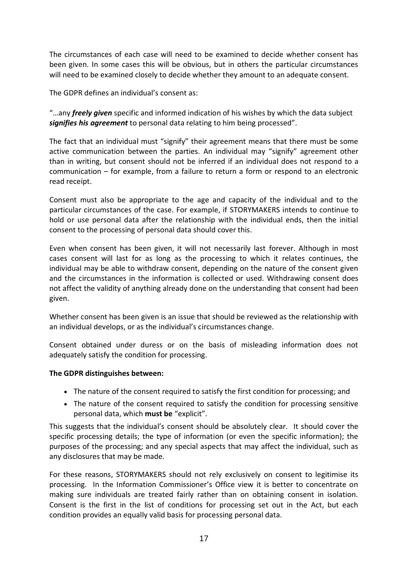The circumstances of each case will need to be examined to decide whether consent has been given. In some cases this will be obvious, but in others the particular circumstances will need to be examined closely to decide whether they amount to an adequate consent.

The GDPR defines an individual's consent as:

"…any *freely given* specific and informed indication of his wishes by which the data subject *signifies his agreement* to personal data relating to him being processed".

The fact that an individual must "signify" their agreement means that there must be some active communication between the parties. An individual may "signify" agreement other than in writing, but consent should not be inferred if an individual does not respond to a communication – for example, from a failure to return a form or respond to an electronic read receipt.

Consent must also be appropriate to the age and capacity of the individual and to the particular circumstances of the case. For example, if STORYMAKERS intends to continue to hold or use personal data after the relationship with the individual ends, then the initial consent to the processing of personal data should cover this.

Even when consent has been given, it will not necessarily last forever. Although in most cases consent will last for as long as the processing to which it relates continues, the individual may be able to withdraw consent, depending on the nature of the consent given and the circumstances in the information is collected or used. Withdrawing consent does not affect the validity of anything already done on the understanding that consent had been given.

Whether consent has been given is an issue that should be reviewed as the relationship with an individual develops, or as the individual's circumstances change.

Consent obtained under duress or on the basis of misleading information does not adequately satisfy the condition for processing.

#### **The GDPR distinguishes between:**

- The nature of the consent required to satisfy the first condition for processing; and
- The nature of the consent required to satisfy the condition for processing sensitive personal data, which **must be** "explicit".

This suggests that the individual's consent should be absolutely clear. It should cover the specific processing details; the type of information (or even the specific information); the purposes of the processing; and any special aspects that may affect the individual, such as any disclosures that may be made.

For these reasons, STORYMAKERS should not rely exclusively on consent to legitimise its processing. In the Information Commissioner's Office view it is better to concentrate on making sure individuals are treated fairly rather than on obtaining consent in isolation. Consent is the first in the list of conditions for processing set out in the Act, but each condition provides an equally valid basis for processing personal data.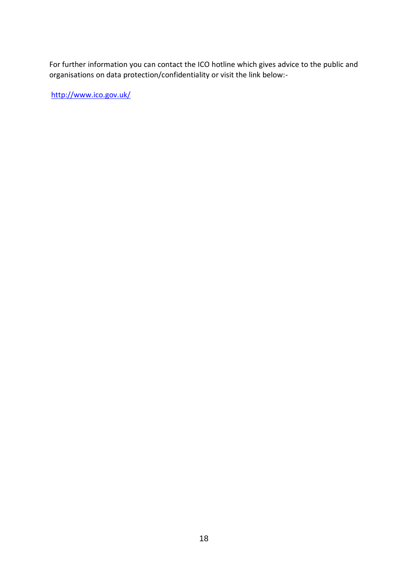For further information you can contact the ICO hotline which gives advice to the public and organisations on data protection/confidentiality or visit the link below:-

<http://www.ico.gov.uk/>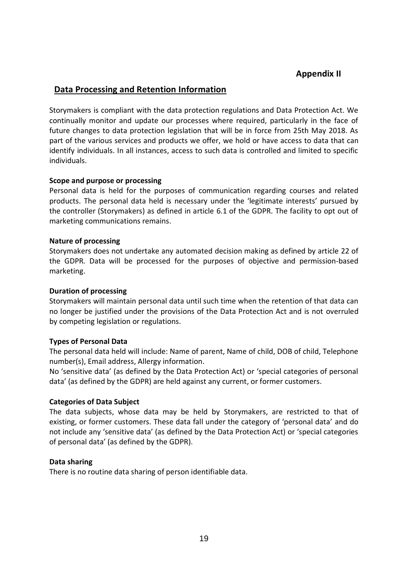### **Appendix II**

### <span id="page-18-0"></span>**Data Processing and Retention Information**

Storymakers is compliant with the data protection regulations and Data Protection Act. We continually monitor and update our processes where required, particularly in the face of future changes to data protection legislation that will be in force from 25th May 2018. As part of the various services and products we offer, we hold or have access to data that can identify individuals. In all instances, access to such data is controlled and limited to specific individuals.

#### **Scope and purpose or processing**

Personal data is held for the purposes of communication regarding courses and related products. The personal data held is necessary under the 'legitimate interests' pursued by the controller (Storymakers) as defined in article 6.1 of the GDPR. The facility to opt out of marketing communications remains.

#### **Nature of processing**

Storymakers does not undertake any automated decision making as defined by article 22 of the GDPR. Data will be processed for the purposes of objective and permission-based marketing.

#### **Duration of processing**

Storymakers will maintain personal data until such time when the retention of that data can no longer be justified under the provisions of the Data Protection Act and is not overruled by competing legislation or regulations.

#### **Types of Personal Data**

The personal data held will include: Name of parent, Name of child, DOB of child, Telephone number(s), Email address, Allergy information.

No 'sensitive data' (as defined by the Data Protection Act) or 'special categories of personal data' (as defined by the GDPR) are held against any current, or former customers.

#### **Categories of Data Subject**

The data subjects, whose data may be held by Storymakers, are restricted to that of existing, or former customers. These data fall under the category of 'personal data' and do not include any 'sensitive data' (as defined by the Data Protection Act) or 'special categories of personal data' (as defined by the GDPR).

#### **Data sharing**

There is no routine data sharing of person identifiable data.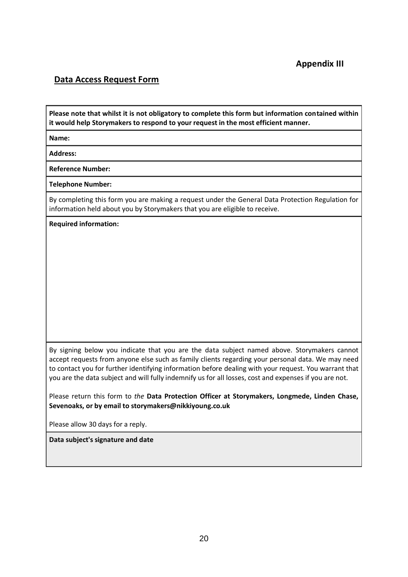### <span id="page-19-0"></span>**Data Access Request Form**

**Please note that whilst it is not obligatory to complete this form but information contained within it would help Storymakers to respond to your request in the most efficient manner.**

**Name:**

**Address:**

**Reference Number:**

**Telephone Number:**

By completing this form you are making a request under the General Data Protection Regulation for information held about you by Storymakers that you are eligible to receive.

**Required information:**

By signing below you indicate that you are the data subject named above. Storymakers cannot accept requests from anyone else such as family clients regarding your personal data. We may need to contact you for further identifying information before dealing with your request. You warrant that you are the data subject and will fully indemnify us for all losses, cost and expenses if you are not.

Please return this form to *the* **Data Protection Officer at Storymakers, Longmede, Linden Chase, Sevenoaks, or by email to storymakers@nikkiyoung.co.uk**

Please allow 30 days for a reply.

**Data subject's signature and date**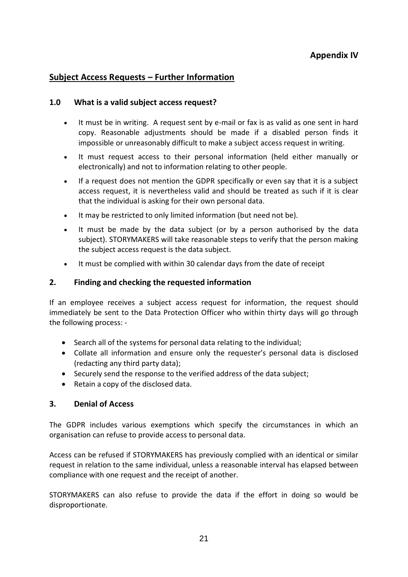## **Subject Access Requests – Further Information**

#### **1.0 What is a valid subject access request?**

- It must be in writing. A request sent by e-mail or fax is as valid as one sent in hard copy. Reasonable adjustments should be made if a disabled person finds it impossible or unreasonably difficult to make a subject access request in writing.
- It must request access to their personal information (held either manually or electronically) and not to information relating to other people.
- If a request does not mention the GDPR specifically or even say that it is a subject access request, it is nevertheless valid and should be treated as such if it is clear that the individual is asking for their own personal data.
- It may be restricted to only limited information (but need not be).
- It must be made by the data subject (or by a person authorised by the data subject). STORYMAKERS will take reasonable steps to verify that the person making the subject access request is the data subject.
- It must be complied with within 30 calendar days from the date of receipt

#### **2. Finding and checking the requested information**

If an employee receives a subject access request for information, the request should immediately be sent to the Data Protection Officer who within thirty days will go through the following process: -

- Search all of the systems for personal data relating to the individual;
- Collate all information and ensure only the requester's personal data is disclosed (redacting any third party data);
- Securely send the response to the verified address of the data subject;
- Retain a copy of the disclosed data.

#### **3. Denial of Access**

The GDPR includes various exemptions which specify the circumstances in which an organisation can refuse to provide access to personal data.

Access can be refused if STORYMAKERS has previously complied with an identical or similar request in relation to the same individual, unless a reasonable interval has elapsed between compliance with one request and the receipt of another.

STORYMAKERS can also refuse to provide the data if the effort in doing so would be disproportionate.